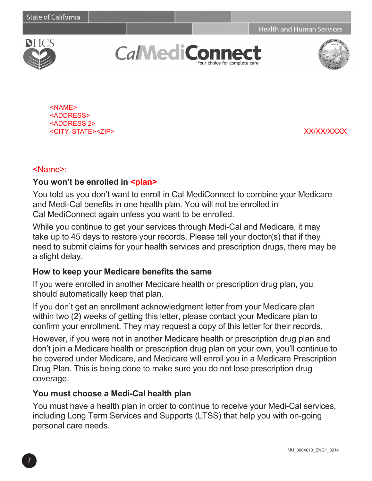**Health and Human Services** 



**CaMediCo** our choice for complete care



<NAME> <ADDRESS> <ADDRESS 2> <CITY, STATE><ZIP> XX/XX/XXXX

#### <Name>:

#### You won't be enrolled in **<plan>**

You told us you don't want to enroll in Cal MediConnect to combine your Medicare and Medi-Cal benefits in one health plan. You will not be enrolled in Cal MediConnect again unless you want to be enrolled.

While you continue to get your services through Medi-Cal and Medicare, it may take up to 45 days to restore your records. Please tell your doctor(s) that if they need to submit claims for your health services and prescription drugs, there may be a slight delay.

#### **How to keep your Medicare benefits the same**

If you were enrolled in another Medicare health or prescription drug plan, you should automatically keep that plan.

If you don't get an enrollment acknowledgment letter from your Medicare plan within two (2) weeks of getting this letter, please contact your Medicare plan to confirm your enrollment. They may request a copy of this letter for their records.

However, if you were not in another Medicare health or prescription drug plan and don't join a Medicare health or prescription drug plan on your own, you'll continue to be covered under Medicare, and Medicare will enroll you in a Medicare Prescription Drug Plan. This is being done to make sure you do not lose prescription drug coverage.

#### **You must choose a Medi-Cal health plan**

You must have a health plan in order to continue to receive your Medi-Cal services, including Long Term Services and Supports (LTSS) that help you with on-going personal care needs.